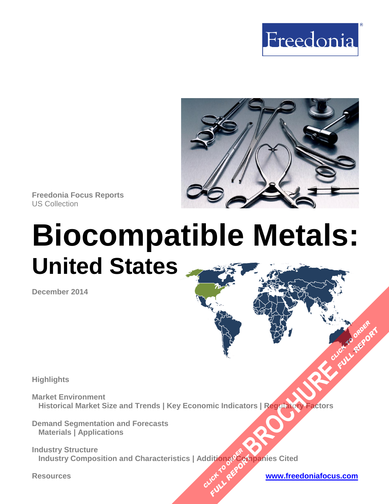



**Freedonia Focus Reports** US Collection

# **Biocompatible Metals: United States**

**December 2014**

**Highlights** 

**Market Environment Historical Market Size and Trends | Key Economic Indicators | Regulatory Factors [BROCHURE](http://www.freedoniagroup.com/FocusDetails.aspx?ReferrerId=FM-FocusBro&ReportID=FF40054) TO CLICK TO ORDER** 

**Demand Segmentation and Forecasts Materials | Applications** 

**Industry Structure Industry Composition and Characteristics | Additional Companies Cited CLICK TO REPORT FULL REPORT** 

**Resources [www.freedoniafocus.com](http://www.freedoniagroup.com/FocusReports.aspx?ReferrerId=FM-FocusBro)**

**FULL REPORT**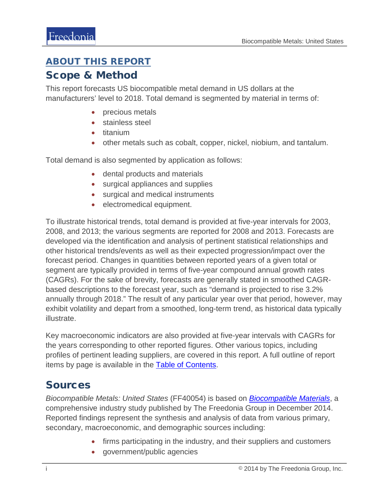### <span id="page-1-0"></span>ABOUT THIS REPORT

### Scope & Method

This report forecasts US biocompatible metal demand in US dollars at the manufacturers' level to 2018. Total demand is segmented by material in terms of:

- precious metals
- stainless steel
- titanium
- other metals such as cobalt, copper, nickel, niobium, and tantalum.

Total demand is also segmented by application as follows:

- dental products and materials
- surgical appliances and supplies
- surgical and medical instruments
- electromedical equipment.

To illustrate historical trends, total demand is provided at five-year intervals for 2003, 2008, and 2013; the various segments are reported for 2008 and 2013. Forecasts are developed via the identification and analysis of pertinent statistical relationships and other historical trends/events as well as their expected progression/impact over the forecast period. Changes in quantities between reported years of a given total or segment are typically provided in terms of five-year compound annual growth rates (CAGRs). For the sake of brevity, forecasts are generally stated in smoothed CAGRbased descriptions to the forecast year, such as "demand is projected to rise 3.2% annually through 2018." The result of any particular year over that period, however, may exhibit volatility and depart from a smoothed, long-term trend, as historical data typically illustrate.

Key macroeconomic indicators are also provided at five-year intervals with CAGRs for the years corresponding to other reported figures. Other various topics, including profiles of pertinent leading suppliers, are covered in this report. A full outline of report items by page is available in the [Table of Contents.](#page-3-0)

## Sources

*Biocompatible Metals: United States* (FF40054) is based on *[Biocompatible Materials](http://www.freedoniagroup.com/DocumentDetails.aspx?ReferrerId=FL-FOCUS&studyid=3223)*, a comprehensive industry study published by The Freedonia Group in December 2014. Reported findings represent the synthesis and analysis of data from various primary, secondary, macroeconomic, and demographic sources including:

- firms participating in the industry, and their suppliers and customers
- government/public agencies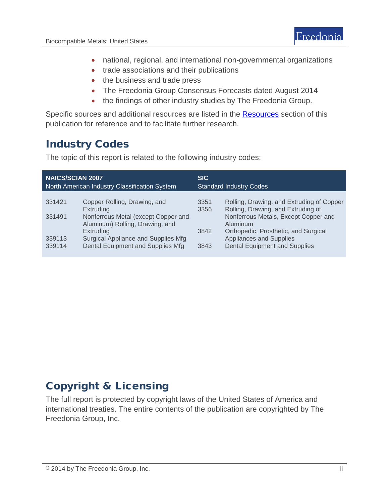- national, regional, and international non-governmental organizations
- trade associations and their publications
- the business and trade press
- The Freedonia Group Consensus Forecasts dated August 2014
- the findings of other industry studies by The Freedonia Group.

Specific sources and additional resources are listed in the **Resources** section of this publication for reference and to facilitate further research.

# Industry Codes

The topic of this report is related to the following industry codes:

| <b>NAICS/SCIAN 2007</b>                       |                                                                                       | <b>SIC</b>                     |                                                                                                                |
|-----------------------------------------------|---------------------------------------------------------------------------------------|--------------------------------|----------------------------------------------------------------------------------------------------------------|
| North American Industry Classification System |                                                                                       | <b>Standard Industry Codes</b> |                                                                                                                |
| 331421                                        | Copper Rolling, Drawing, and                                                          | 3351                           | Rolling, Drawing, and Extruding of Copper                                                                      |
|                                               | Extruding                                                                             | 3356                           | Rolling, Drawing, and Extruding of                                                                             |
| 331491                                        | Nonferrous Metal (except Copper and<br>Aluminum) Rolling, Drawing, and                |                                | Nonferrous Metals, Except Copper and<br>Aluminum                                                               |
| 339113<br>339114                              | Extruding<br>Surgical Appliance and Supplies Mfg<br>Dental Equipment and Supplies Mfg | 3842<br>3843                   | Orthopedic, Prosthetic, and Surgical<br><b>Appliances and Supplies</b><br><b>Dental Equipment and Supplies</b> |

# Copyright & Licensing

The full report is protected by copyright laws of the United States of America and international treaties. The entire contents of the publication are copyrighted by The Freedonia Group, Inc.